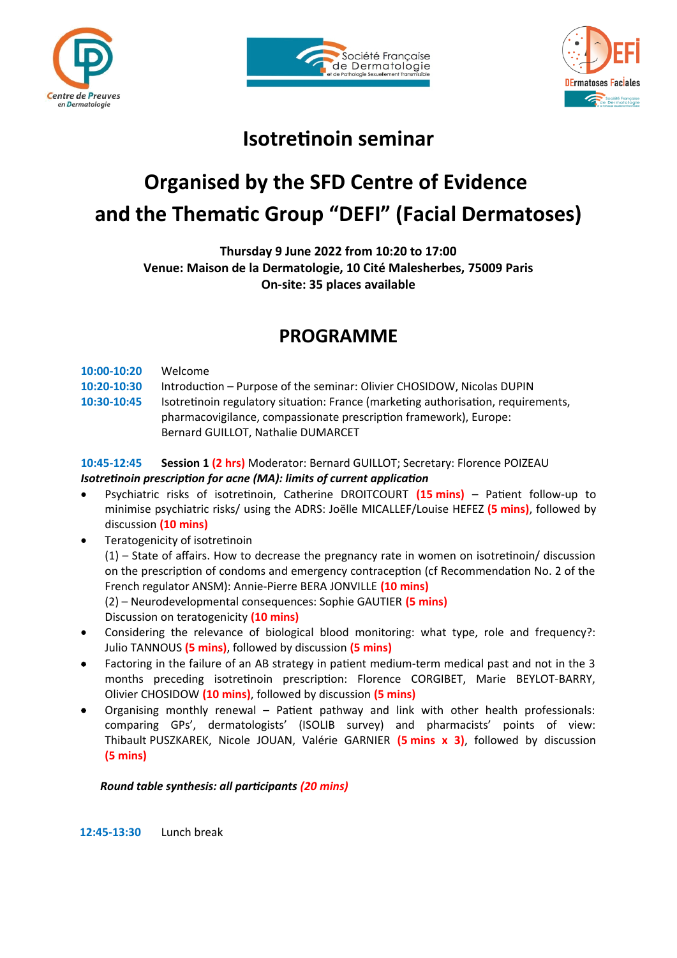





## **Isotretinoin seminar**

# **Organised by the SFD Centre of Evidence and the Thematic Group "DEFI" (Facial Dermatoses)**

**Thursday 9 June 2022 from 10:20 to 17:00 Venue: Maison de la Dermatologie, 10 Cité Malesherbes, 75009 Paris On-site: 35 places available**

### **PROGRAMME**

**10:00-10:20** Welcome

- **10:20-10:30** Introduction Purpose of the seminar: Olivier CHOSIDOW, Nicolas DUPIN
- **10:30-10:45** Isotretinoin regulatory situation: France (marketing authorisation, requirements, pharmacovigilance, compassionate prescription framework), Europe: Bernard GUILLOT, Nathalie DUMARCET

#### **10:45-12:45 Session 1 (2 hrs)** Moderator: Bernard GUILLOT; Secretary: Florence POIZEAU *Isotretinoin prescription for acne (MA): limits of current application*

- Psychiatric risks of isotretinoin, Catherine DROITCOURT **(15 mins)** Patient follow-up to minimise psychiatric risks/ using the ADRS: Joëlle MICALLEF/Louise HEFEZ **(5 mins)**, followed by discussion **(10 mins)**
- **•** Teratogenicity of isotretinoin

(1) – State of affairs. How to decrease the pregnancy rate in women on isotretinoin/ discussion on the prescription of condoms and emergency contraception (cf Recommendation No. 2 of the French regulator ANSM): Annie-Pierre BERA JONVILLE **(10 mins)**

(2) – Neurodevelopmental consequences: Sophie GAUTIER **(5 mins)**

- Discussion on teratogenicity **(10 mins)**
- Considering the relevance of biological blood monitoring: what type, role and frequency?: Julio TANNOUS **(5 mins)**, followed by discussion **(5 mins)**
- Factoring in the failure of an AB strategy in patient medium-term medical past and not in the 3 months preceding isotretinoin prescription: Florence CORGIBET, Marie BEYLOT-BARRY, Olivier CHOSIDOW **(10 mins)**, followed by discussion **(5 mins)**
- Organising monthly renewal Patient pathway and link with other health professionals: comparing GPs', dermatologists' (ISOLIB survey) and pharmacists' points of view: Thibault PUSZKAREK, Nicole JOUAN, Valérie GARNIER **(5 mins x 3)**, followed by discussion **(5 mins)**

#### *Round table synthesis: all participants (20 mins)*

**12:45-13:30** Lunch break